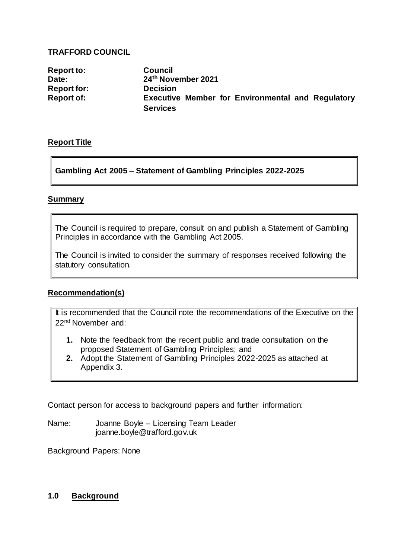#### **TRAFFORD COUNCIL**

**Report to: Council Date: 24th November 2021 Report for: Decision Executive Member for Environmental and Regulatory Services**

## **Report Title**

## **Gambling Act 2005 – Statement of Gambling Principles 2022-2025**

## **Summary**

The Council is required to prepare, consult on and publish a Statement of Gambling Principles in accordance with the Gambling Act 2005.

The Council is invited to consider the summary of responses received following the statutory consultation.

## **Recommendation(s)**

It is recommended that the Council note the recommendations of the Executive on the 22nd November and:

- **1.** Note the feedback from the recent public and trade consultation on the proposed Statement of Gambling Principles; and
- **2.** Adopt the Statement of Gambling Principles 2022-2025 as attached at Appendix 3.

Contact person for access to background papers and further information:

Name: Joanne Boyle – Licensing Team Leader joanne.boyle@trafford.gov.uk

Background Papers: None

## **1.0 Background**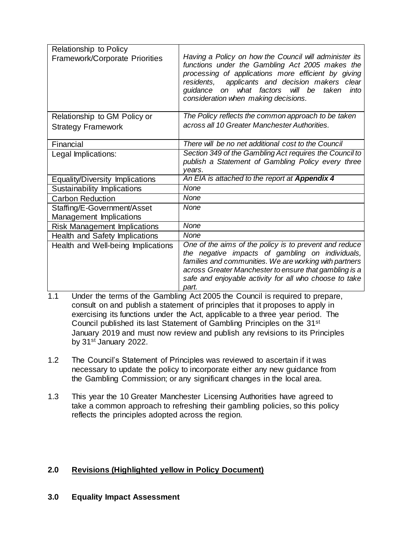| Relationship to Policy                |                                                                                                                                                                                                                                                                                                                  |
|---------------------------------------|------------------------------------------------------------------------------------------------------------------------------------------------------------------------------------------------------------------------------------------------------------------------------------------------------------------|
| <b>Framework/Corporate Priorities</b> | Having a Policy on how the Council will administer its<br>functions under the Gambling Act 2005 makes the<br>processing of applications more efficient by giving<br>residents, applicants and decision makers clear<br>what factors will be taken<br>quidance on<br>into<br>consideration when making decisions. |
| Relationship to GM Policy or          | The Policy reflects the common approach to be taken                                                                                                                                                                                                                                                              |
| <b>Strategy Framework</b>             | across all 10 Greater Manchester Authorities.                                                                                                                                                                                                                                                                    |
| Financial                             | There will be no net additional cost to the Council                                                                                                                                                                                                                                                              |
| Legal Implications:                   | Section 349 of the Gambling Act requires the Council to<br>publish a Statement of Gambling Policy every three<br>vears.                                                                                                                                                                                          |
| Equality/Diversity Implications       | An EIA is attached to the report at Appendix 4                                                                                                                                                                                                                                                                   |
| Sustainability Implications           | None                                                                                                                                                                                                                                                                                                             |
| <b>Carbon Reduction</b>               | None                                                                                                                                                                                                                                                                                                             |
| Staffing/E-Government/Asset           | None                                                                                                                                                                                                                                                                                                             |
| Management Implications               |                                                                                                                                                                                                                                                                                                                  |
| <b>Risk Management Implications</b>   | None                                                                                                                                                                                                                                                                                                             |
| Health and Safety Implications        | None                                                                                                                                                                                                                                                                                                             |
| Health and Well-being Implications    | One of the aims of the policy is to prevent and reduce                                                                                                                                                                                                                                                           |
|                                       | the negative impacts of gambling on individuals,                                                                                                                                                                                                                                                                 |
|                                       | families and communities. We are working with partners<br>across Greater Manchester to ensure that gambling is a                                                                                                                                                                                                 |
|                                       | safe and enjoyable activity for all who choose to take                                                                                                                                                                                                                                                           |
|                                       | part.                                                                                                                                                                                                                                                                                                            |

- 1.1 Under the terms of the Gambling Act 2005 the Council is required to prepare, consult on and publish a statement of principles that it proposes to apply in exercising its functions under the Act, applicable to a three year period. The Council published its last Statement of Gambling Principles on the 31st January 2019 and must now review and publish any revisions to its Principles by 31<sup>st</sup> January 2022.
- 1.2 The Council's Statement of Principles was reviewed to ascertain if it was necessary to update the policy to incorporate either any new guidance from the Gambling Commission; or any significant changes in the local area.
- 1.3 This year the 10 Greater Manchester Licensing Authorities have agreed to take a common approach to refreshing their gambling policies, so this policy reflects the principles adopted across the region.

## **2.0 Revisions (Highlighted yellow in Policy Document)**

**3.0 Equality Impact Assessment**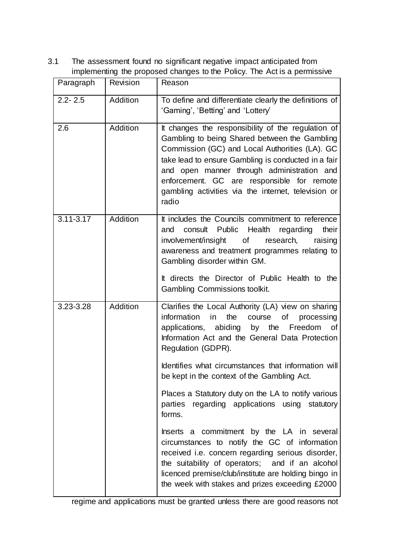3.1 The assessment found no significant negative impact anticipated from implementing the proposed changes to the Policy. The Act is a permissive

| Paragraph     | Revision | Reason                                                                                                                                                                                                                                                                                                                                                                   |
|---------------|----------|--------------------------------------------------------------------------------------------------------------------------------------------------------------------------------------------------------------------------------------------------------------------------------------------------------------------------------------------------------------------------|
| $2.2 - 2.5$   | Addition | To define and differentiate clearly the definitions of<br>'Gaming', 'Betting' and 'Lottery'                                                                                                                                                                                                                                                                              |
| 2.6           | Addition | It changes the responsibility of the regulation of<br>Gambling to being Shared between the Gambling<br>Commission (GC) and Local Authorities (LA). GC<br>take lead to ensure Gambling is conducted in a fair<br>and open manner through administration and<br>enforcement. GC are responsible for remote<br>gambling activities via the internet, television or<br>radio |
| $3.11 - 3.17$ | Addition | It includes the Councils commitment to reference<br>consult Public<br>Health<br>regarding<br>their<br>and<br>involvement/insight of research, raising<br>awareness and treatment programmes relating to<br>Gambling disorder within GM.                                                                                                                                  |
|               |          | It directs the Director of Public Health to the<br>Gambling Commissions toolkit.                                                                                                                                                                                                                                                                                         |
| 3.23-3.28     | Addition | Clarifies the Local Authority (LA) view on sharing<br>the<br>information<br>in<br>course<br>processing<br>of<br>applications, abiding by the Freedom of<br>Information Act and the General Data Protection<br>Regulation (GDPR).                                                                                                                                         |
|               |          | Identifies what circumstances that information will<br>be kept in the context of the Gambling Act.                                                                                                                                                                                                                                                                       |
|               |          | Places a Statutory duty on the LA to notify various<br>parties regarding applications using statutory<br>forms.                                                                                                                                                                                                                                                          |
|               |          | Inserts a commitment by the LA in several<br>circumstances to notify the GC of information<br>received i.e. concern regarding serious disorder,<br>the suitability of operators; and if an alcohol<br>licenced premise/club/institute are holding bingo in<br>the week with stakes and prizes exceeding £2000                                                            |

regime and applications must be granted unless there are good reasons not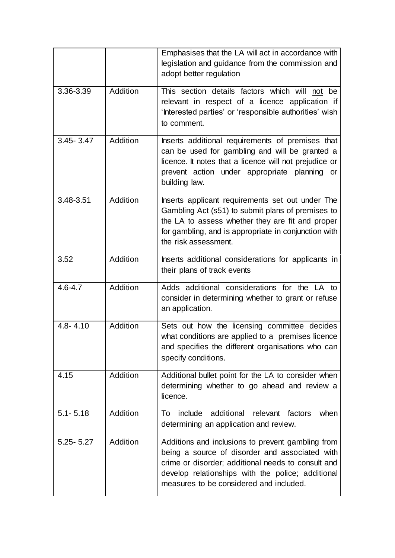|               |          | Emphasises that the LA will act in accordance with<br>legislation and guidance from the commission and<br>adopt better regulation                                                                                                                         |
|---------------|----------|-----------------------------------------------------------------------------------------------------------------------------------------------------------------------------------------------------------------------------------------------------------|
| 3.36-3.39     | Addition | This section details factors which will not be<br>relevant in respect of a licence application if<br>'Interested parties' or 'responsible authorities' wish<br>to comment.                                                                                |
| $3.45 - 3.47$ | Addition | Inserts additional requirements of premises that<br>can be used for gambling and will be granted a<br>licence. It notes that a licence will not prejudice or<br>prevent action under appropriate planning or<br>building law.                             |
| 3.48-3.51     | Addition | Inserts applicant requirements set out under The<br>Gambling Act (s51) to submit plans of premises to<br>the LA to assess whether they are fit and proper<br>for gambling, and is appropriate in conjunction with<br>the risk assessment.                 |
| 3.52          | Addition | Inserts additional considerations for applicants in<br>their plans of track events                                                                                                                                                                        |
| $4.6 - 4.7$   | Addition | Adds additional considerations for the LA to<br>consider in determining whether to grant or refuse<br>an application.                                                                                                                                     |
| $4.8 - 4.10$  | Addition | Sets out how the licensing committee decides<br>what conditions are applied to a premises licence<br>and specifies the different organisations who can<br>specify conditions.                                                                             |
| 4.15          | Addition | Additional bullet point for the LA to consider when<br>determining whether to go ahead and review a<br>licence.                                                                                                                                           |
| $5.1 - 5.18$  | Addition | additional relevant factors<br>when<br>include<br>To<br>determining an application and review.                                                                                                                                                            |
| $5.25 - 5.27$ | Addition | Additions and inclusions to prevent gambling from<br>being a source of disorder and associated with<br>crime or disorder; additional needs to consult and<br>develop relationships with the police; additional<br>measures to be considered and included. |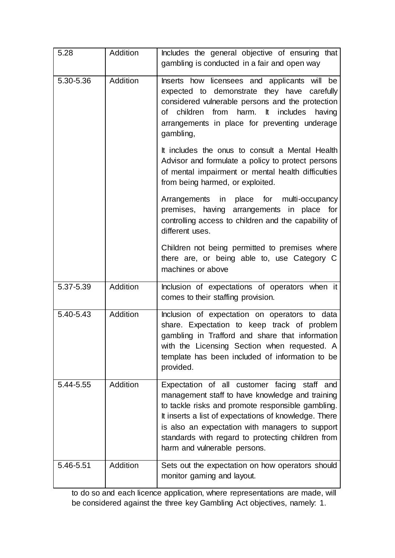| 5.28      | Addition        | Includes the general objective of ensuring that<br>gambling is conducted in a fair and open way                                                                                                                                                                                                                                                       |
|-----------|-----------------|-------------------------------------------------------------------------------------------------------------------------------------------------------------------------------------------------------------------------------------------------------------------------------------------------------------------------------------------------------|
| 5.30-5.36 | Addition        | Inserts how licensees and applicants will be<br>expected to demonstrate they have carefully<br>considered vulnerable persons and the protection<br>children from harm. It<br>includes<br>of<br>having<br>arrangements in place for preventing underage<br>gambling,                                                                                   |
|           |                 | It includes the onus to consult a Mental Health<br>Advisor and formulate a policy to protect persons<br>of mental impairment or mental health difficulties<br>from being harmed, or exploited.                                                                                                                                                        |
|           |                 | Arrangements in place for multi-occupancy<br>premises, having arrangements in place for<br>controlling access to children and the capability of<br>different uses.                                                                                                                                                                                    |
|           |                 | Children not being permitted to premises where<br>there are, or being able to, use Category C<br>machines or above                                                                                                                                                                                                                                    |
| 5.37-5.39 | Addition        | Inclusion of expectations of operators when it<br>comes to their staffing provision.                                                                                                                                                                                                                                                                  |
| 5.40-5.43 | Addition        | Inclusion of expectation on operators to data<br>share. Expectation to keep track of problem<br>gambling in Trafford and share that information<br>with the Licensing Section when requested. A<br>template has been included of information to be<br>provided.                                                                                       |
| 5.44-5.55 | <b>Addition</b> | Expectation of all customer facing staff and<br>management staff to have knowledge and training<br>to tackle risks and promote responsible gambling.<br>It inserts a list of expectations of knowledge. There<br>is also an expectation with managers to support<br>standards with regard to protecting children from<br>harm and vulnerable persons. |
| 5.46-5.51 | Addition        | Sets out the expectation on how operators should<br>monitor gaming and layout.                                                                                                                                                                                                                                                                        |

to do so and each licence application, where representations are made, will be considered against the three key Gambling Act objectives, namely: 1.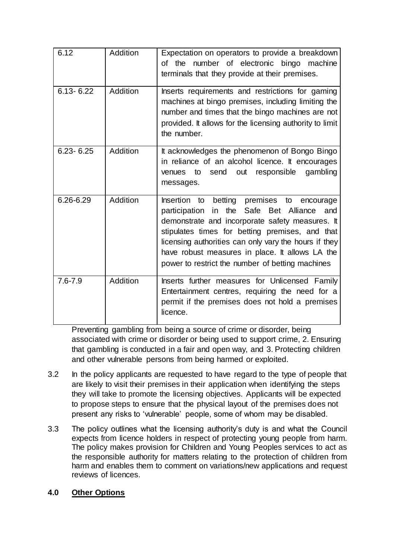| 6.12          | Addition | Expectation on operators to provide a breakdown<br>of the number of electronic bingo machine<br>terminals that they provide at their premises.                                                                                                                                                                                                                    |
|---------------|----------|-------------------------------------------------------------------------------------------------------------------------------------------------------------------------------------------------------------------------------------------------------------------------------------------------------------------------------------------------------------------|
| $6.13 - 6.22$ | Addition | Inserts requirements and restrictions for gaming<br>machines at bingo premises, including limiting the<br>number and times that the bingo machines are not<br>provided. It allows for the licensing authority to limit<br>the number.                                                                                                                             |
| $6.23 - 6.25$ | Addition | It acknowledges the phenomenon of Bongo Bingo<br>in reliance of an alcohol licence. It encourages<br>send<br>responsible<br>gambling<br>to<br>out<br>venues<br>messages.                                                                                                                                                                                          |
| 6.26-6.29     | Addition | Insertion to betting premises to encourage<br>participation in the Safe Bet Alliance<br>and<br>demonstrate and incorporate safety measures. It<br>stipulates times for betting premises, and that<br>licensing authorities can only vary the hours if they<br>have robust measures in place. It allows LA the<br>power to restrict the number of betting machines |
| $7.6 - 7.9$   | Addition | Inserts further measures for Unlicensed Family<br>Entertainment centres, requiring the need for a<br>permit if the premises does not hold a premises<br>licence.                                                                                                                                                                                                  |

Preventing gambling from being a source of crime or disorder, being associated with crime or disorder or being used to support crime, 2. Ensuring that gambling is conducted in a fair and open way, and 3. Protecting children and other vulnerable persons from being harmed or exploited.

- 3.2 In the policy applicants are requested to have regard to the type of people that are likely to visit their premises in their application when identifying the steps they will take to promote the licensing objectives. Applicants will be expected to propose steps to ensure that the physical layout of the premises does not present any risks to 'vulnerable' people, some of whom may be disabled.
- 3.3 The policy outlines what the licensing authority's duty is and what the Council expects from licence holders in respect of protecting young people from harm. The policy makes provision for Children and Young Peoples services to act as the responsible authority for matters relating to the protection of children from harm and enables them to comment on variations/new applications and request reviews of licences.

## **4.0 Other Options**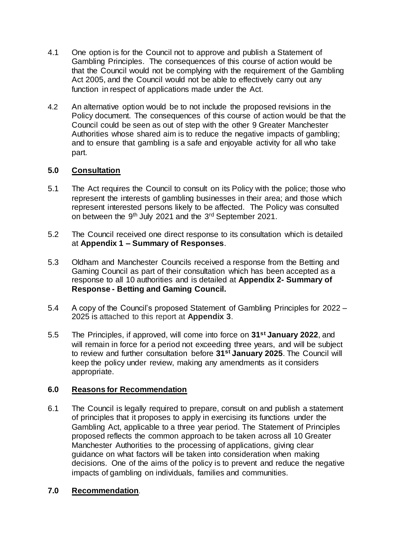- 4.1 One option is for the Council not to approve and publish a Statement of Gambling Principles. The consequences of this course of action would be that the Council would not be complying with the requirement of the Gambling Act 2005, and the Council would not be able to effectively carry out any function in respect of applications made under the Act.
- 4.2 An alternative option would be to not include the proposed revisions in the Policy document. The consequences of this course of action would be that the Council could be seen as out of step with the other 9 Greater Manchester Authorities whose shared aim is to reduce the negative impacts of gambling; and to ensure that gambling is a safe and enjoyable activity for all who take part.

#### **5.0 Consultation**

- 5.1 The Act requires the Council to consult on its Policy with the police; those who represent the interests of gambling businesses in their area; and those which represent interested persons likely to be affected. The Policy was consulted on between the 9th July 2021 and the 3rd September 2021.
- 5.2 The Council received one direct response to its consultation which is detailed at **Appendix 1 – Summary of Responses**.
- 5.3 Oldham and Manchester Councils received a response from the Betting and Gaming Council as part of their consultation which has been accepted as a response to all 10 authorities and is detailed at **Appendix 2- Summary of Response - Betting and Gaming Council.**
- 5.4 A copy of the Council's proposed Statement of Gambling Principles for 2022 2025 is attached to this report at **Appendix 3**.
- 5.5 The Principles, if approved, will come into force on **31st January 2022**, and will remain in force for a period not exceeding three years, and will be subject to review and further consultation before **31st January 2025**. The Council will keep the policy under review, making any amendments as it considers appropriate.

#### **6.0 Reasons for Recommendation**

6.1 The Council is legally required to prepare, consult on and publish a statement of principles that it proposes to apply in exercising its functions under the Gambling Act, applicable to a three year period. The Statement of Principles proposed reflects the common approach to be taken across all 10 Greater Manchester Authorities to the processing of applications, giving clear guidance on what factors will be taken into consideration when making decisions. One of the aims of the policy is to prevent and reduce the negative impacts of gambling on individuals, families and communities.

#### **7.0 Recommendation***.*